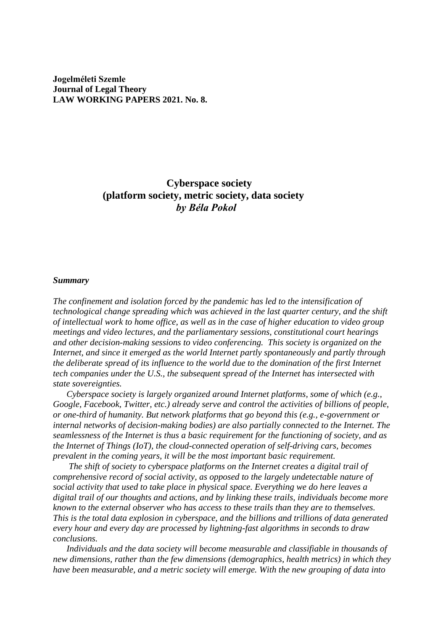**Jogelméleti Szemle Journal of Legal Theory LAW WORKING PAPERS 2021. No. 8.**

> **Cyberspace society (platform society, metric society, data society** *by Béla Pokol*

#### *Summary*

*The confinement and isolation forced by the pandemic has led to the intensification of technological change spreading which was achieved in the last quarter century, and the shift of intellectual work to home office, as well as in the case of higher education to video group meetings and video lectures, and the parliamentary sessions, constitutional court hearings and other decision-making sessions to video conferencing. This society is organized on the Internet, and since it emerged as the world Internet partly spontaneously and partly through the deliberate spread of its influence to the world due to the domination of the first Internet tech companies under the U.S., the subsequent spread of the Internet has intersected with state sovereignties.* 

 *Cyberspace society is largely organized around Internet platforms, some of which (e.g., Google, Facebook, Twitter, etc.) already serve and control the activities of billions of people, or one-third of humanity. But network platforms that go beyond this (e.g., e-government or internal networks of decision-making bodies) are also partially connected to the Internet. The seamlessness of the Internet is thus a basic requirement for the functioning of society, and as the Internet of Things (IoT), the cloud-connected operation of self-driving cars, becomes prevalent in the coming years, it will be the most important basic requirement.* 

 *The shift of society to cyberspace platforms on the Internet creates a digital trail of comprehensive record of social activity, as opposed to the largely undetectable nature of social activity that used to take place in physical space. Everything we do here leaves a digital trail of our thoughts and actions, and by linking these trails, individuals become more known to the external observer who has access to these trails than they are to themselves. This is the total data explosion in cyberspace, and the billions and trillions of data generated every hour and every day are processed by lightning-fast algorithms in seconds to draw conclusions.*

 *Individuals and the data society will become measurable and classifiable in thousands of new dimensions, rather than the few dimensions (demographics, health metrics) in which they have been measurable, and a metric society will emerge. With the new grouping of data into*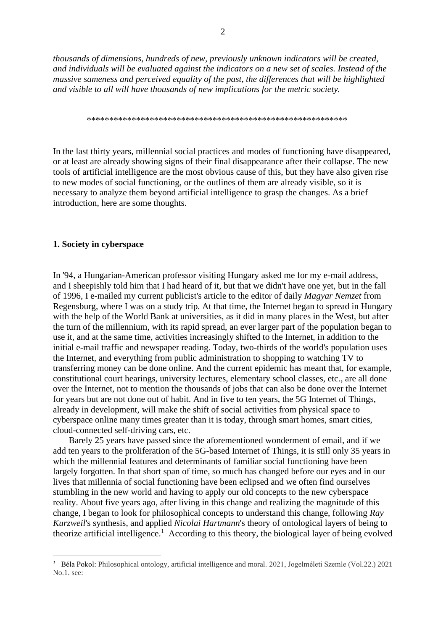*thousands of dimensions, hundreds of new, previously unknown indicators will be created, and individuals will be evaluated against the indicators on a new set of scales. Instead of the massive sameness and perceived equality of the past, the differences that will be highlighted and visible to all will have thousands of new implications for the metric society.*

\*\*\*\*\*\*\*\*\*\*\*\*\*\*\*\*\*\*\*\*\*\*\*\*\*\*\*\*\*\*\*\*\*\*\*\*\*\*\*\*\*\*\*\*\*\*\*\*\*\*\*\*\*\*\*\*\*\*

In the last thirty years, millennial social practices and modes of functioning have disappeared, or at least are already showing signs of their final disappearance after their collapse. The new tools of artificial intelligence are the most obvious cause of this, but they have also given rise to new modes of social functioning, or the outlines of them are already visible, so it is necessary to analyze them beyond artificial intelligence to grasp the changes. As a brief introduction, here are some thoughts.

# **1. Society in cyberspace**

In '94, a Hungarian-American professor visiting Hungary asked me for my e-mail address, and I sheepishly told him that I had heard of it, but that we didn't have one yet, but in the fall of 1996, I e-mailed my current publicist's article to the editor of daily *Magyar Nemzet* from Regensburg, where I was on a study trip. At that time, the Internet began to spread in Hungary with the help of the World Bank at universities, as it did in many places in the West, but after the turn of the millennium, with its rapid spread, an ever larger part of the population began to use it, and at the same time, activities increasingly shifted to the Internet, in addition to the initial e-mail traffic and newspaper reading. Today, two-thirds of the world's population uses the Internet, and everything from public administration to shopping to watching TV to transferring money can be done online. And the current epidemic has meant that, for example, constitutional court hearings, university lectures, elementary school classes, etc., are all done over the Internet, not to mention the thousands of jobs that can also be done over the Internet for years but are not done out of habit. And in five to ten years, the 5G Internet of Things, already in development, will make the shift of social activities from physical space to cyberspace online many times greater than it is today, through smart homes, smart cities, cloud-connected self-driving cars, etc.

 Barely 25 years have passed since the aforementioned wonderment of email, and if we add ten years to the proliferation of the 5G-based Internet of Things, it is still only 35 years in which the millennial features and determinants of familiar social functioning have been largely forgotten. In that short span of time, so much has changed before our eyes and in our lives that millennia of social functioning have been eclipsed and we often find ourselves stumbling in the new world and having to apply our old concepts to the new cyberspace reality. About five years ago, after living in this change and realizing the magnitude of this change, I began to look for philosophical concepts to understand this change, following *Ray Kurzweil*'s synthesis, and applied *Nicolai Hartmann*'s theory of ontological layers of being to theorize artificial intelligence.<sup>1</sup> According to this theory, the biological layer of being evolved

<sup>&</sup>lt;sup>1</sup> Béla Pokol: Philosophical ontology, artificial intelligence and moral. 2021, Jogelméleti Szemle (Vol.22.) 2021 No.1. see: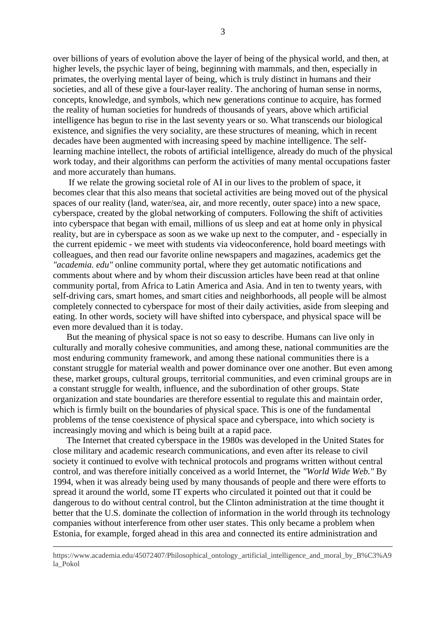over billions of years of evolution above the layer of being of the physical world, and then, at higher levels, the psychic layer of being, beginning with mammals, and then, especially in primates, the overlying mental layer of being, which is truly distinct in humans and their societies, and all of these give a four-layer reality. The anchoring of human sense in norms, concepts, knowledge, and symbols, which new generations continue to acquire, has formed the reality of human societies for hundreds of thousands of years, above which artificial intelligence has begun to rise in the last seventy years or so. What transcends our biological existence, and signifies the very sociality, are these structures of meaning, which in recent decades have been augmented with increasing speed by machine intelligence. The selflearning machine intellect, the robots of artificial intelligence, already do much of the physical work today, and their algorithms can perform the activities of many mental occupations faster and more accurately than humans.

 If we relate the growing societal role of AI in our lives to the problem of space, it becomes clear that this also means that societal activities are being moved out of the physical spaces of our reality (land, water/sea, air, and more recently, outer space) into a new space, cyberspace, created by the global networking of computers. Following the shift of activities into cyberspace that began with email, millions of us sleep and eat at home only in physical reality, but are in cyberspace as soon as we wake up next to the computer, and - especially in the current epidemic - we meet with students via videoconference, hold board meetings with colleagues, and then read our favorite online newspapers and magazines, academics get the *"academia. edu"* online community portal, where they get automatic notifications and comments about where and by whom their discussion articles have been read at that online community portal, from Africa to Latin America and Asia. And in ten to twenty years, with self-driving cars, smart homes, and smart cities and neighborhoods, all people will be almost completely connected to cyberspace for most of their daily activities, aside from sleeping and eating. In other words, society will have shifted into cyberspace, and physical space will be even more devalued than it is today.

 But the meaning of physical space is not so easy to describe. Humans can live only in culturally and morally cohesive communities, and among these, national communities are the most enduring community framework, and among these national communities there is a constant struggle for material wealth and power dominance over one another. But even among these, market groups, cultural groups, territorial communities, and even criminal groups are in a constant struggle for wealth, influence, and the subordination of other groups. State organization and state boundaries are therefore essential to regulate this and maintain order, which is firmly built on the boundaries of physical space. This is one of the fundamental problems of the tense coexistence of physical space and cyberspace, into which society is increasingly moving and which is being built at a rapid pace.

 The Internet that created cyberspace in the 1980s was developed in the United States for close military and academic research communications, and even after its release to civil society it continued to evolve with technical protocols and programs written without central control, and was therefore initially conceived as a world Internet, the *"World Wide Web."* By 1994, when it was already being used by many thousands of people and there were efforts to spread it around the world, some IT experts who circulated it pointed out that it could be dangerous to do without central control, but the Clinton administration at the time thought it better that the U.S. dominate the collection of information in the world through its technology companies without interference from other user states. This only became a problem when Estonia, for example, forged ahead in this area and connected its entire administration and

https://www.academia.edu/45072407/Philosophical\_ontology\_artificial\_intelligence\_and\_moral\_by\_B%C3%A9 la\_Pokol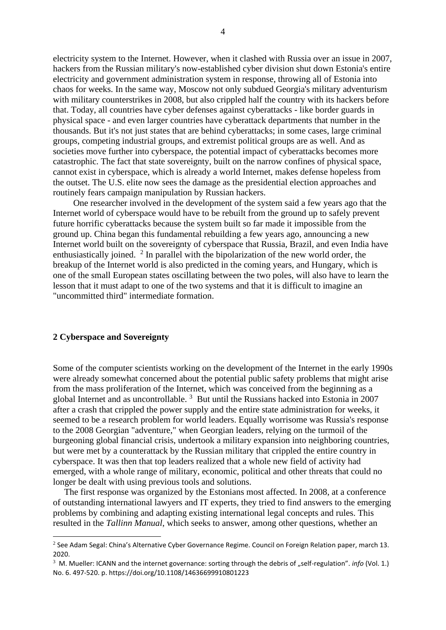electricity system to the Internet. However, when it clashed with Russia over an issue in 2007, hackers from the Russian military's now-established cyber division shut down Estonia's entire electricity and government administration system in response, throwing all of Estonia into chaos for weeks. In the same way, Moscow not only subdued Georgia's military adventurism with military counterstrikes in 2008, but also crippled half the country with its hackers before that. Today, all countries have cyber defenses against cyberattacks - like border guards in physical space - and even larger countries have cyberattack departments that number in the thousands. But it's not just states that are behind cyberattacks; in some cases, large criminal groups, competing industrial groups, and extremist political groups are as well. And as societies move further into cyberspace, the potential impact of cyberattacks becomes more catastrophic. The fact that state sovereignty, built on the narrow confines of physical space, cannot exist in cyberspace, which is already a world Internet, makes defense hopeless from the outset. The U.S. elite now sees the damage as the presidential election approaches and routinely fears campaign manipulation by Russian hackers.

 One researcher involved in the development of the system said a few years ago that the Internet world of cyberspace would have to be rebuilt from the ground up to safely prevent future horrific cyberattacks because the system built so far made it impossible from the ground up. China began this fundamental rebuilding a few years ago, announcing a new Internet world built on the sovereignty of cyberspace that Russia, Brazil, and even India have enthusiastically joined.  $2$  In parallel with the bipolarization of the new world order, the breakup of the Internet world is also predicted in the coming years, and Hungary, which is one of the small European states oscillating between the two poles, will also have to learn the lesson that it must adapt to one of the two systems and that it is difficult to imagine an "uncommitted third" intermediate formation.

# **2 Cyberspace and Sovereignty**

Some of the computer scientists working on the development of the Internet in the early 1990s were already somewhat concerned about the potential public safety problems that might arise from the mass proliferation of the Internet, which was conceived from the beginning as a global Internet and as uncontrollable.<sup>3</sup> But until the Russians hacked into Estonia in 2007 after a crash that crippled the power supply and the entire state administration for weeks, it seemed to be a research problem for world leaders. Equally worrisome was Russia's response to the 2008 Georgian "adventure," when Georgian leaders, relying on the turmoil of the burgeoning global financial crisis, undertook a military expansion into neighboring countries, but were met by a counterattack by the Russian military that crippled the entire country in cyberspace. It was then that top leaders realized that a whole new field of activity had emerged, with a whole range of military, economic, political and other threats that could no longer be dealt with using previous tools and solutions.

 The first response was organized by the Estonians most affected. In 2008, at a conference of outstanding international lawyers and IT experts, they tried to find answers to the emerging problems by combining and adapting existing international legal concepts and rules. This resulted in the *Tallinn Manual*, which seeks to answer, among other questions, whether an

<sup>&</sup>lt;sup>2</sup> See Adam Segal: China's Alternative Cyber Governance Regime. Council on Foreign Relation paper, march 13. 2020.

<sup>&</sup>lt;sup>3</sup> M. Mueller: ICANN and the internet governance: sorting through the debris of "self-regulation". *info* (Vol. 1.) No. 6. 497-520. p. https://doi.org/10.1108/14636699910801223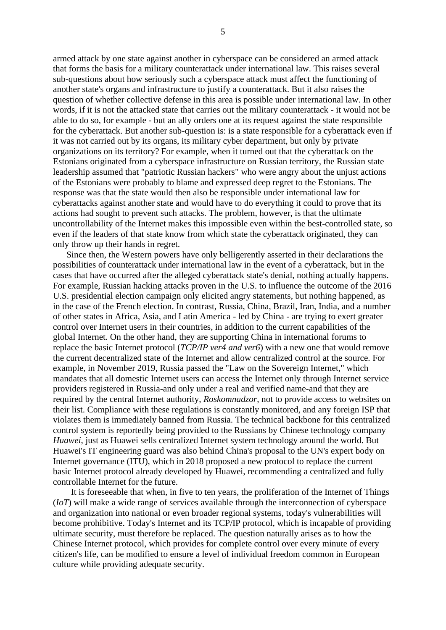armed attack by one state against another in cyberspace can be considered an armed attack that forms the basis for a military counterattack under international law. This raises several sub-questions about how seriously such a cyberspace attack must affect the functioning of another state's organs and infrastructure to justify a counterattack. But it also raises the question of whether collective defense in this area is possible under international law. In other words, if it is not the attacked state that carries out the military counterattack - it would not be able to do so, for example - but an ally orders one at its request against the state responsible for the cyberattack. But another sub-question is: is a state responsible for a cyberattack even if it was not carried out by its organs, its military cyber department, but only by private organizations on its territory? For example, when it turned out that the cyberattack on the Estonians originated from a cyberspace infrastructure on Russian territory, the Russian state leadership assumed that "patriotic Russian hackers" who were angry about the unjust actions of the Estonians were probably to blame and expressed deep regret to the Estonians. The response was that the state would then also be responsible under international law for cyberattacks against another state and would have to do everything it could to prove that its actions had sought to prevent such attacks. The problem, however, is that the ultimate uncontrollability of the Internet makes this impossible even within the best-controlled state, so even if the leaders of that state know from which state the cyberattack originated, they can only throw up their hands in regret.

 Since then, the Western powers have only belligerently asserted in their declarations the possibilities of counterattack under international law in the event of a cyberattack, but in the cases that have occurred after the alleged cyberattack state's denial, nothing actually happens. For example, Russian hacking attacks proven in the U.S. to influence the outcome of the 2016 U.S. presidential election campaign only elicited angry statements, but nothing happened, as in the case of the French election. In contrast, Russia, China, Brazil, Iran, India, and a number of other states in Africa, Asia, and Latin America - led by China - are trying to exert greater control over Internet users in their countries, in addition to the current capabilities of the global Internet. On the other hand, they are supporting China in international forums to replace the basic Internet protocol (*TCP/IP ver4 and ver6*) with a new one that would remove the current decentralized state of the Internet and allow centralized control at the source. For example, in November 2019, Russia passed the "Law on the Sovereign Internet," which mandates that all domestic Internet users can access the Internet only through Internet service providers registered in Russia-and only under a real and verified name-and that they are required by the central Internet authority, *Roskomnadzor*, not to provide access to websites on their list. Compliance with these regulations is constantly monitored, and any foreign ISP that violates them is immediately banned from Russia. The technical backbone for this centralized control system is reportedly being provided to the Russians by Chinese technology company *Huawei*, just as Huawei sells centralized Internet system technology around the world. But Huawei's IT engineering guard was also behind China's proposal to the UN's expert body on Internet governance (ITU), which in 2018 proposed a new protocol to replace the current basic Internet protocol already developed by Huawei, recommending a centralized and fully controllable Internet for the future.

 It is foreseeable that when, in five to ten years, the proliferation of the Internet of Things (*IoT*) will make a wide range of services available through the interconnection of cyberspace and organization into national or even broader regional systems, today's vulnerabilities will become prohibitive. Today's Internet and its TCP/IP protocol, which is incapable of providing ultimate security, must therefore be replaced. The question naturally arises as to how the Chinese Internet protocol, which provides for complete control over every minute of every citizen's life, can be modified to ensure a level of individual freedom common in European culture while providing adequate security.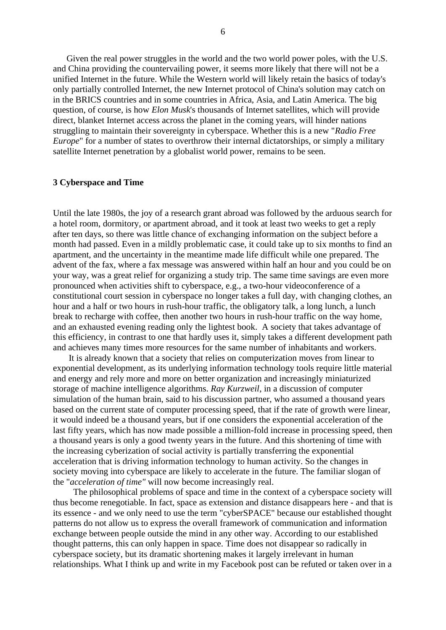Given the real power struggles in the world and the two world power poles, with the U.S. and China providing the countervailing power, it seems more likely that there will not be a unified Internet in the future. While the Western world will likely retain the basics of today's only partially controlled Internet, the new Internet protocol of China's solution may catch on in the BRICS countries and in some countries in Africa, Asia, and Latin America. The big question, of course, is how *Elon Musk*'s thousands of Internet satellites, which will provide direct, blanket Internet access across the planet in the coming years, will hinder nations struggling to maintain their sovereignty in cyberspace. Whether this is a new "*Radio Free Europe*" for a number of states to overthrow their internal dictatorships, or simply a military satellite Internet penetration by a globalist world power, remains to be seen.

# **3 Cyberspace and Time**

Until the late 1980s, the joy of a research grant abroad was followed by the arduous search for a hotel room, dormitory, or apartment abroad, and it took at least two weeks to get a reply after ten days, so there was little chance of exchanging information on the subject before a month had passed. Even in a mildly problematic case, it could take up to six months to find an apartment, and the uncertainty in the meantime made life difficult while one prepared. The advent of the fax, where a fax message was answered within half an hour and you could be on your way, was a great relief for organizing a study trip. The same time savings are even more pronounced when activities shift to cyberspace, e.g., a two-hour videoconference of a constitutional court session in cyberspace no longer takes a full day, with changing clothes, an hour and a half or two hours in rush-hour traffic, the obligatory talk, a long lunch, a lunch break to recharge with coffee, then another two hours in rush-hour traffic on the way home, and an exhausted evening reading only the lightest book. A society that takes advantage of this efficiency, in contrast to one that hardly uses it, simply takes a different development path and achieves many times more resources for the same number of inhabitants and workers.

 It is already known that a society that relies on computerization moves from linear to exponential development, as its underlying information technology tools require little material and energy and rely more and more on better organization and increasingly miniaturized storage of machine intelligence algorithms. *Ray Kurzweil*, in a discussion of computer simulation of the human brain, said to his discussion partner, who assumed a thousand years based on the current state of computer processing speed, that if the rate of growth were linear, it would indeed be a thousand years, but if one considers the exponential acceleration of the last fifty years, which has now made possible a million-fold increase in processing speed, then a thousand years is only a good twenty years in the future. And this shortening of time with the increasing cyberization of social activity is partially transferring the exponential acceleration that is driving information technology to human activity. So the changes in society moving into cyberspace are likely to accelerate in the future. The familiar slogan of the "*acceleration of time"* will now become increasingly real.

 The philosophical problems of space and time in the context of a cyberspace society will thus become renegotiable. In fact, space as extension and distance disappears here - and that is its essence - and we only need to use the term "cyberSPACE" because our established thought patterns do not allow us to express the overall framework of communication and information exchange between people outside the mind in any other way. According to our established thought patterns, this can only happen in space. Time does not disappear so radically in cyberspace society, but its dramatic shortening makes it largely irrelevant in human relationships. What I think up and write in my Facebook post can be refuted or taken over in a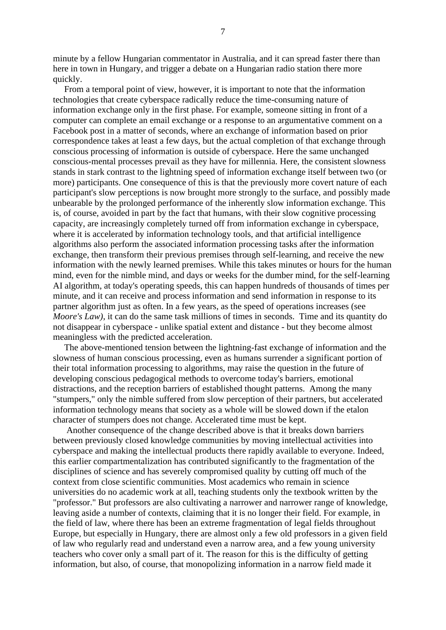minute by a fellow Hungarian commentator in Australia, and it can spread faster there than here in town in Hungary, and trigger a debate on a Hungarian radio station there more quickly.

 From a temporal point of view, however, it is important to note that the information technologies that create cyberspace radically reduce the time-consuming nature of information exchange only in the first phase. For example, someone sitting in front of a computer can complete an email exchange or a response to an argumentative comment on a Facebook post in a matter of seconds, where an exchange of information based on prior correspondence takes at least a few days, but the actual completion of that exchange through conscious processing of information is outside of cyberspace. Here the same unchanged conscious-mental processes prevail as they have for millennia. Here, the consistent slowness stands in stark contrast to the lightning speed of information exchange itself between two (or more) participants. One consequence of this is that the previously more covert nature of each participant's slow perceptions is now brought more strongly to the surface, and possibly made unbearable by the prolonged performance of the inherently slow information exchange. This is, of course, avoided in part by the fact that humans, with their slow cognitive processing capacity, are increasingly completely turned off from information exchange in cyberspace, where it is accelerated by information technology tools, and that artificial intelligence algorithms also perform the associated information processing tasks after the information exchange, then transform their previous premises through self-learning, and receive the new information with the newly learned premises. While this takes minutes or hours for the human mind, even for the nimble mind, and days or weeks for the dumber mind, for the self-learning AI algorithm, at today's operating speeds, this can happen hundreds of thousands of times per minute, and it can receive and process information and send information in response to its partner algorithm just as often. In a few years, as the speed of operations increases (see *Moore's Law)*, it can do the same task millions of times in seconds. Time and its quantity do not disappear in cyberspace - unlike spatial extent and distance - but they become almost meaningless with the predicted acceleration.

 The above-mentioned tension between the lightning-fast exchange of information and the slowness of human conscious processing, even as humans surrender a significant portion of their total information processing to algorithms, may raise the question in the future of developing conscious pedagogical methods to overcome today's barriers, emotional distractions, and the reception barriers of established thought patterns. Among the many "stumpers," only the nimble suffered from slow perception of their partners, but accelerated information technology means that society as a whole will be slowed down if the etalon character of stumpers does not change. Accelerated time must be kept.

 Another consequence of the change described above is that it breaks down barriers between previously closed knowledge communities by moving intellectual activities into cyberspace and making the intellectual products there rapidly available to everyone. Indeed, this earlier compartmentalization has contributed significantly to the fragmentation of the disciplines of science and has severely compromised quality by cutting off much of the context from close scientific communities. Most academics who remain in science universities do no academic work at all, teaching students only the textbook written by the "professor." But professors are also cultivating a narrower and narrower range of knowledge, leaving aside a number of contexts, claiming that it is no longer their field. For example, in the field of law, where there has been an extreme fragmentation of legal fields throughout Europe, but especially in Hungary, there are almost only a few old professors in a given field of law who regularly read and understand even a narrow area, and a few young university teachers who cover only a small part of it. The reason for this is the difficulty of getting information, but also, of course, that monopolizing information in a narrow field made it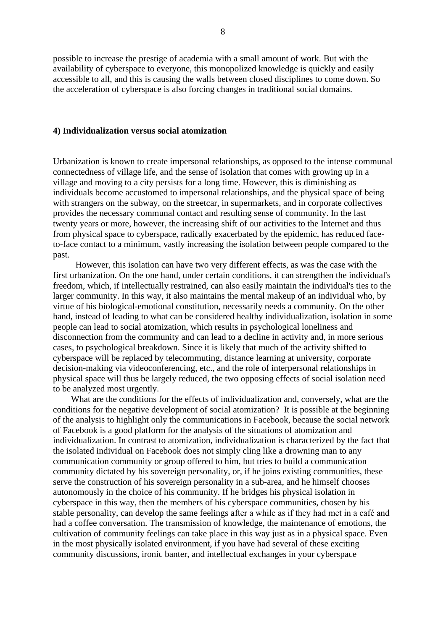possible to increase the prestige of academia with a small amount of work. But with the availability of cyberspace to everyone, this monopolized knowledge is quickly and easily accessible to all, and this is causing the walls between closed disciplines to come down. So the acceleration of cyberspace is also forcing changes in traditional social domains.

### **4) Individualization versus social atomization**

Urbanization is known to create impersonal relationships, as opposed to the intense communal connectedness of village life, and the sense of isolation that comes with growing up in a village and moving to a city persists for a long time. However, this is diminishing as individuals become accustomed to impersonal relationships, and the physical space of being with strangers on the subway, on the streetcar, in supermarkets, and in corporate collectives provides the necessary communal contact and resulting sense of community. In the last twenty years or more, however, the increasing shift of our activities to the Internet and thus from physical space to cyberspace, radically exacerbated by the epidemic, has reduced faceto-face contact to a minimum, vastly increasing the isolation between people compared to the past.

 However, this isolation can have two very different effects, as was the case with the first urbanization. On the one hand, under certain conditions, it can strengthen the individual's freedom, which, if intellectually restrained, can also easily maintain the individual's ties to the larger community. In this way, it also maintains the mental makeup of an individual who, by virtue of his biological-emotional constitution, necessarily needs a community. On the other hand, instead of leading to what can be considered healthy individualization, isolation in some people can lead to social atomization, which results in psychological loneliness and disconnection from the community and can lead to a decline in activity and, in more serious cases, to psychological breakdown. Since it is likely that much of the activity shifted to cyberspace will be replaced by telecommuting, distance learning at university, corporate decision-making via videoconferencing, etc., and the role of interpersonal relationships in physical space will thus be largely reduced, the two opposing effects of social isolation need to be analyzed most urgently.

 What are the conditions for the effects of individualization and, conversely, what are the conditions for the negative development of social atomization? It is possible at the beginning of the analysis to highlight only the communications in Facebook, because the social network of Facebook is a good platform for the analysis of the situations of atomization and individualization. In contrast to atomization, individualization is characterized by the fact that the isolated individual on Facebook does not simply cling like a drowning man to any communication community or group offered to him, but tries to build a communication community dictated by his sovereign personality, or, if he joins existing communities, these serve the construction of his sovereign personality in a sub-area, and he himself chooses autonomously in the choice of his community. If he bridges his physical isolation in cyberspace in this way, then the members of his cyberspace communities, chosen by his stable personality, can develop the same feelings after a while as if they had met in a café and had a coffee conversation. The transmission of knowledge, the maintenance of emotions, the cultivation of community feelings can take place in this way just as in a physical space. Even in the most physically isolated environment, if you have had several of these exciting community discussions, ironic banter, and intellectual exchanges in your cyberspace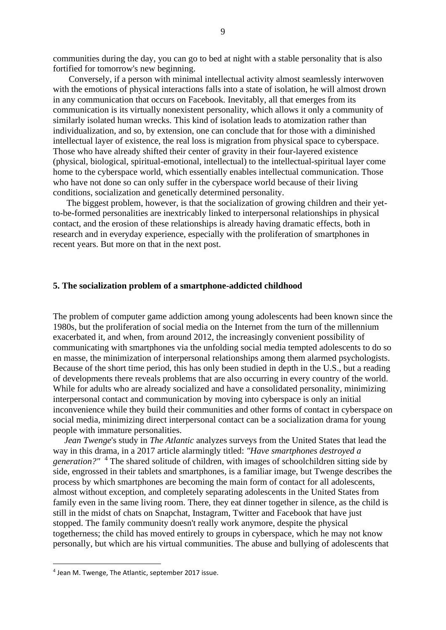communities during the day, you can go to bed at night with a stable personality that is also fortified for tomorrow's new beginning.

 Conversely, if a person with minimal intellectual activity almost seamlessly interwoven with the emotions of physical interactions falls into a state of isolation, he will almost drown in any communication that occurs on Facebook. Inevitably, all that emerges from its communication is its virtually nonexistent personality, which allows it only a community of similarly isolated human wrecks. This kind of isolation leads to atomization rather than individualization, and so, by extension, one can conclude that for those with a diminished intellectual layer of existence, the real loss is migration from physical space to cyberspace. Those who have already shifted their center of gravity in their four-layered existence (physical, biological, spiritual-emotional, intellectual) to the intellectual-spiritual layer come home to the cyberspace world, which essentially enables intellectual communication. Those who have not done so can only suffer in the cyberspace world because of their living conditions, socialization and genetically determined personality.

 The biggest problem, however, is that the socialization of growing children and their yetto-be-formed personalities are inextricably linked to interpersonal relationships in physical contact, and the erosion of these relationships is already having dramatic effects, both in research and in everyday experience, especially with the proliferation of smartphones in recent years. But more on that in the next post.

### **5. The socialization problem of a smartphone-addicted childhood**

The problem of computer game addiction among young adolescents had been known since the 1980s, but the proliferation of social media on the Internet from the turn of the millennium exacerbated it, and when, from around 2012, the increasingly convenient possibility of communicating with smartphones via the unfolding social media tempted adolescents to do so en masse, the minimization of interpersonal relationships among them alarmed psychologists. Because of the short time period, this has only been studied in depth in the U.S., but a reading of developments there reveals problems that are also occurring in every country of the world. While for adults who are already socialized and have a consolidated personality, minimizing interpersonal contact and communication by moving into cyberspace is only an initial inconvenience while they build their communities and other forms of contact in cyberspace on social media, minimizing direct interpersonal contact can be a socialization drama for young people with immature personalities.

 *Jean Twenge*'s study in *The Atlantic* analyzes surveys from the United States that lead the way in this drama, in a 2017 article alarmingly titled: *"Have smartphones destroyed a generation?"* <sup>4</sup> The shared solitude of children, with images of schoolchildren sitting side by side, engrossed in their tablets and smartphones, is a familiar image, but Twenge describes the process by which smartphones are becoming the main form of contact for all adolescents, almost without exception, and completely separating adolescents in the United States from family even in the same living room. There, they eat dinner together in silence, as the child is still in the midst of chats on Snapchat, Instagram, Twitter and Facebook that have just stopped. The family community doesn't really work anymore, despite the physical togetherness; the child has moved entirely to groups in cyberspace, which he may not know personally, but which are his virtual communities. The abuse and bullying of adolescents that

<sup>4</sup> Jean M. Twenge, The Atlantic, september 2017 issue.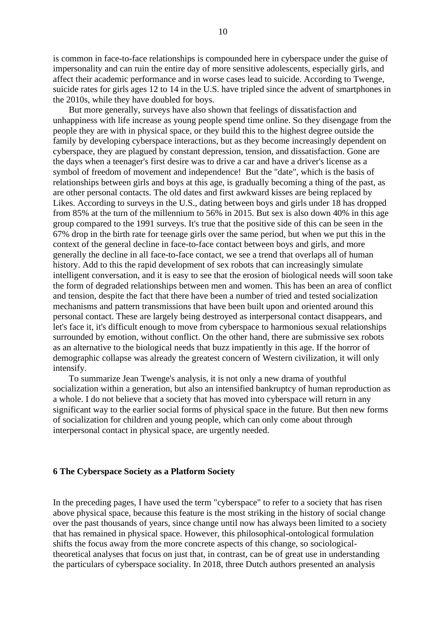is common in face-to-face relationships is compounded here in cyberspace under the guise of impersonality and can ruin the entire day of more sensitive adolescents, especially girls, and affect their academic performance and in worse cases lead to suicide. According to Twenge, suicide rates for girls ages 12 to 14 in the U.S. have tripled since the advent of smartphones in the 2010s, while they have doubled for boys.

 But more generally, surveys have also shown that feelings of dissatisfaction and unhappiness with life increase as young people spend time online. So they disengage from the people they are with in physical space, or they build this to the highest degree outside the family by developing cyberspace interactions, but as they become increasingly dependent on cyberspace, they are plagued by constant depression, tension, and dissatisfaction. Gone are the days when a teenager's first desire was to drive a car and have a driver's license as a symbol of freedom of movement and independence! But the "date", which is the basis of relationships between girls and boys at this age, is gradually becoming a thing of the past, as are other personal contacts. The old dates and first awkward kisses are being replaced by Likes. According to surveys in the U.S., dating between boys and girls under 18 has dropped from 85% at the turn of the millennium to 56% in 2015. But sex is also down 40% in this age group compared to the 1991 surveys. It's true that the positive side of this can be seen in the 67% drop in the birth rate for teenage girls over the same period, but when we put this in the context of the general decline in face-to-face contact between boys and girls, and more generally the decline in all face-to-face contact, we see a trend that overlaps all of human history. Add to this the rapid development of sex robots that can increasingly simulate intelligent conversation, and it is easy to see that the erosion of biological needs will soon take the form of degraded relationships between men and women. This has been an area of conflict and tension, despite the fact that there have been a number of tried and tested socialization mechanisms and pattern transmissions that have been built upon and oriented around this personal contact. These are largely being destroyed as interpersonal contact disappears, and let's face it, it's difficult enough to move from cyberspace to harmonious sexual relationships surrounded by emotion, without conflict. On the other hand, there are submissive sex robots as an alternative to the biological needs that buzz impatiently in this age. If the horror of demographic collapse was already the greatest concern of Western civilization, it will only intensify.

 To summarize Jean Twenge's analysis, it is not only a new drama of youthful socialization within a generation, but also an intensified bankruptcy of human reproduction as a whole. I do not believe that a society that has moved into cyberspace will return in any significant way to the earlier social forms of physical space in the future. But then new forms of socialization for children and young people, which can only come about through interpersonal contact in physical space, are urgently needed.

### **6 The Cyberspace Society as a Platform Society**

In the preceding pages, I have used the term "cyberspace" to refer to a society that has risen above physical space, because this feature is the most striking in the history of social change over the past thousands of years, since change until now has always been limited to a society that has remained in physical space. However, this philosophical-ontological formulation shifts the focus away from the more concrete aspects of this change, so sociologicaltheoretical analyses that focus on just that, in contrast, can be of great use in understanding the particulars of cyberspace sociality. In 2018, three Dutch authors presented an analysis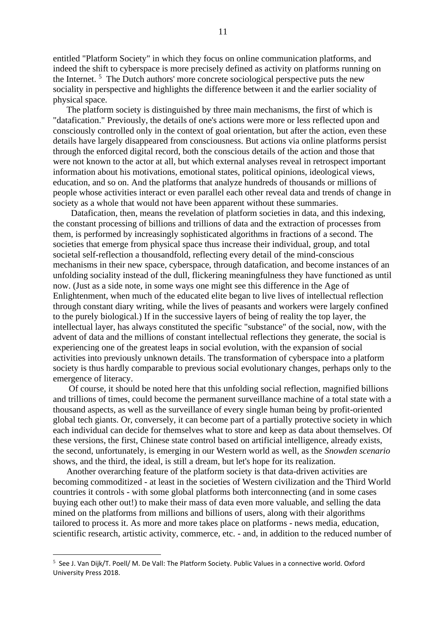entitled "Platform Society" in which they focus on online communication platforms, and indeed the shift to cyberspace is more precisely defined as activity on platforms running on the Internet.<sup>5</sup> The Dutch authors' more concrete sociological perspective puts the new sociality in perspective and highlights the difference between it and the earlier sociality of physical space.

 The platform society is distinguished by three main mechanisms, the first of which is "datafication." Previously, the details of one's actions were more or less reflected upon and consciously controlled only in the context of goal orientation, but after the action, even these details have largely disappeared from consciousness. But actions via online platforms persist through the enforced digital record, both the conscious details of the action and those that were not known to the actor at all, but which external analyses reveal in retrospect important information about his motivations, emotional states, political opinions, ideological views, education, and so on. And the platforms that analyze hundreds of thousands or millions of people whose activities interact or even parallel each other reveal data and trends of change in society as a whole that would not have been apparent without these summaries.

 Datafication, then, means the revelation of platform societies in data, and this indexing, the constant processing of billions and trillions of data and the extraction of processes from them, is performed by increasingly sophisticated algorithms in fractions of a second. The societies that emerge from physical space thus increase their individual, group, and total societal self-reflection a thousandfold, reflecting every detail of the mind-conscious mechanisms in their new space, cyberspace, through datafication, and become instances of an unfolding sociality instead of the dull, flickering meaningfulness they have functioned as until now. (Just as a side note, in some ways one might see this difference in the Age of Enlightenment, when much of the educated elite began to live lives of intellectual reflection through constant diary writing, while the lives of peasants and workers were largely confined to the purely biological.) If in the successive layers of being of reality the top layer, the intellectual layer, has always constituted the specific "substance" of the social, now, with the advent of data and the millions of constant intellectual reflections they generate, the social is experiencing one of the greatest leaps in social evolution, with the expansion of social activities into previously unknown details. The transformation of cyberspace into a platform society is thus hardly comparable to previous social evolutionary changes, perhaps only to the emergence of literacy.

 Of course, it should be noted here that this unfolding social reflection, magnified billions and trillions of times, could become the permanent surveillance machine of a total state with a thousand aspects, as well as the surveillance of every single human being by profit-oriented global tech giants. Or, conversely, it can become part of a partially protective society in which each individual can decide for themselves what to store and keep as data about themselves. Of these versions, the first, Chinese state control based on artificial intelligence, already exists, the second, unfortunately, is emerging in our Western world as well, as the *Snowden scenario* shows, and the third, the ideal, is still a dream, but let's hope for its realization.

 Another overarching feature of the platform society is that data-driven activities are becoming commoditized - at least in the societies of Western civilization and the Third World countries it controls - with some global platforms both interconnecting (and in some cases buying each other out!) to make their mass of data even more valuable, and selling the data mined on the platforms from millions and billions of users, along with their algorithms tailored to process it. As more and more takes place on platforms - news media, education, scientific research, artistic activity, commerce, etc. - and, in addition to the reduced number of

<sup>&</sup>lt;sup>5</sup> See J. Van Dijk/T. Poell/ M. De Vall: The Platform Society. Public Values in a connective world. Oxford University Press 2018.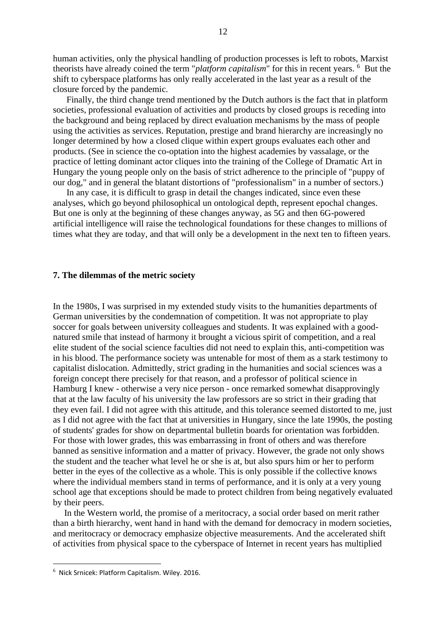human activities, only the physical handling of production processes is left to robots, Marxist theorists have already coined the term "*platform capitalism*" for this in recent years. <sup>6</sup> But the shift to cyberspace platforms has only really accelerated in the last year as a result of the closure forced by the pandemic.

 Finally, the third change trend mentioned by the Dutch authors is the fact that in platform societies, professional evaluation of activities and products by closed groups is receding into the background and being replaced by direct evaluation mechanisms by the mass of people using the activities as services. Reputation, prestige and brand hierarchy are increasingly no longer determined by how a closed clique within expert groups evaluates each other and products. (See in science the co-optation into the highest academies by vassalage, or the practice of letting dominant actor cliques into the training of the College of Dramatic Art in Hungary the young people only on the basis of strict adherence to the principle of "puppy of our dog," and in general the blatant distortions of "professionalism" in a number of sectors.)

 In any case, it is difficult to grasp in detail the changes indicated, since even these analyses, which go beyond philosophical un ontological depth, represent epochal changes. But one is only at the beginning of these changes anyway, as 5G and then 6G-powered artificial intelligence will raise the technological foundations for these changes to millions of times what they are today, and that will only be a development in the next ten to fifteen years.

### **7. The dilemmas of the metric society**

In the 1980s, I was surprised in my extended study visits to the humanities departments of German universities by the condemnation of competition. It was not appropriate to play soccer for goals between university colleagues and students. It was explained with a goodnatured smile that instead of harmony it brought a vicious spirit of competition, and a real elite student of the social science faculties did not need to explain this, anti-competition was in his blood. The performance society was untenable for most of them as a stark testimony to capitalist dislocation. Admittedly, strict grading in the humanities and social sciences was a foreign concept there precisely for that reason, and a professor of political science in Hamburg I knew - otherwise a very nice person - once remarked somewhat disapprovingly that at the law faculty of his university the law professors are so strict in their grading that they even fail. I did not agree with this attitude, and this tolerance seemed distorted to me, just as I did not agree with the fact that at universities in Hungary, since the late 1990s, the posting of students' grades for show on departmental bulletin boards for orientation was forbidden. For those with lower grades, this was embarrassing in front of others and was therefore banned as sensitive information and a matter of privacy. However, the grade not only shows the student and the teacher what level he or she is at, but also spurs him or her to perform better in the eyes of the collective as a whole. This is only possible if the collective knows where the individual members stand in terms of performance, and it is only at a very young school age that exceptions should be made to protect children from being negatively evaluated by their peers.

 In the Western world, the promise of a meritocracy, a social order based on merit rather than a birth hierarchy, went hand in hand with the demand for democracy in modern societies, and meritocracy or democracy emphasize objective measurements. And the accelerated shift of activities from physical space to the cyberspace of Internet in recent years has multiplied

<sup>6</sup> Nick Srnicek: Platform Capitalism. Wiley. 2016.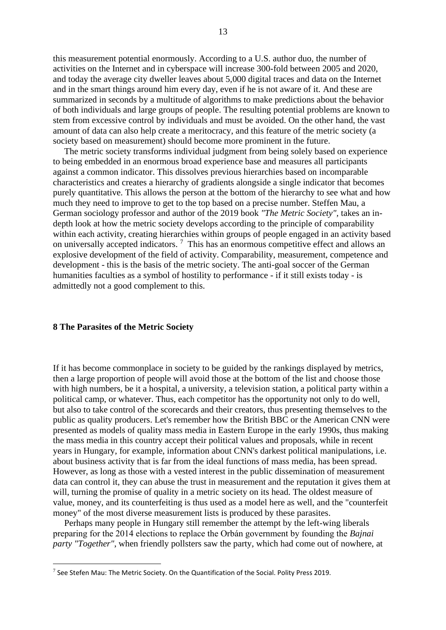this measurement potential enormously. According to a U.S. author duo, the number of activities on the Internet and in cyberspace will increase 300-fold between 2005 and 2020, and today the average city dweller leaves about 5,000 digital traces and data on the Internet and in the smart things around him every day, even if he is not aware of it. And these are summarized in seconds by a multitude of algorithms to make predictions about the behavior of both individuals and large groups of people. The resulting potential problems are known to stem from excessive control by individuals and must be avoided. On the other hand, the vast amount of data can also help create a meritocracy, and this feature of the metric society (a society based on measurement) should become more prominent in the future.

 The metric society transforms individual judgment from being solely based on experience to being embedded in an enormous broad experience base and measures all participants against a common indicator. This dissolves previous hierarchies based on incomparable characteristics and creates a hierarchy of gradients alongside a single indicator that becomes purely quantitative. This allows the person at the bottom of the hierarchy to see what and how much they need to improve to get to the top based on a precise number. Steffen Mau, a German sociology professor and author of the 2019 book *"The Metric Society",* takes an indepth look at how the metric society develops according to the principle of comparability within each activity, creating hierarchies within groups of people engaged in an activity based on universally accepted indicators. <sup>7</sup> This has an enormous competitive effect and allows an explosive development of the field of activity. Comparability, measurement, competence and development - this is the basis of the metric society. The anti-goal soccer of the German humanities faculties as a symbol of hostility to performance - if it still exists today - is admittedly not a good complement to this.

#### **8 The Parasites of the Metric Society**

If it has become commonplace in society to be guided by the rankings displayed by metrics, then a large proportion of people will avoid those at the bottom of the list and choose those with high numbers, be it a hospital, a university, a television station, a political party within a political camp, or whatever. Thus, each competitor has the opportunity not only to do well, but also to take control of the scorecards and their creators, thus presenting themselves to the public as quality producers. Let's remember how the British BBC or the American CNN were presented as models of quality mass media in Eastern Europe in the early 1990s, thus making the mass media in this country accept their political values and proposals, while in recent years in Hungary, for example, information about CNN's darkest political manipulations, i.e. about business activity that is far from the ideal functions of mass media, has been spread. However, as long as those with a vested interest in the public dissemination of measurement data can control it, they can abuse the trust in measurement and the reputation it gives them at will, turning the promise of quality in a metric society on its head. The oldest measure of value, money, and its counterfeiting is thus used as a model here as well, and the "counterfeit money" of the most diverse measurement lists is produced by these parasites.

 Perhaps many people in Hungary still remember the attempt by the left-wing liberals preparing for the 2014 elections to replace the Orbán government by founding the *Bajnai party "Together"*, when friendly pollsters saw the party, which had come out of nowhere, at

 $^7$  See Stefen Mau: The Metric Society. On the Quantification of the Social. Polity Press 2019.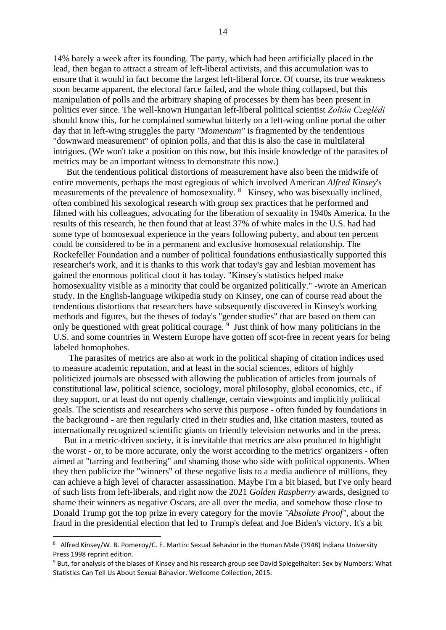14% barely a week after its founding. The party, which had been artificially placed in the lead, then began to attract a stream of left-liberal activists, and this accumulation was to ensure that it would in fact become the largest left-liberal force. Of course, its true weakness soon became apparent, the electoral farce failed, and the whole thing collapsed, but this manipulation of polls and the arbitrary shaping of processes by them has been present in politics ever since. The well-known Hungarian left-liberal political scientist *Zoltán Czeglédi* should know this, for he complained somewhat bitterly on a left-wing online portal the other day that in left-wing struggles the party *"Momentum"* is fragmented by the tendentious "downward measurement" of opinion polls, and that this is also the case in multilateral intrigues. (We won't take a position on this now, but this inside knowledge of the parasites of metrics may be an important witness to demonstrate this now.)

 But the tendentious political distortions of measurement have also been the midwife of entire movements, perhaps the most egregious of which involved American *Alfred Kinsey*'s measurements of the prevalence of homosexuality. <sup>8</sup> Kinsey, who was bisexually inclined, often combined his sexological research with group sex practices that he performed and filmed with his colleagues, advocating for the liberation of sexuality in 1940s America. In the results of this research, he then found that at least 37% of white males in the U.S. had had some type of homosexual experience in the years following puberty, and about ten percent could be considered to be in a permanent and exclusive homosexual relationship. The Rockefeller Foundation and a number of political foundations enthusiastically supported this researcher's work, and it is thanks to this work that today's gay and lesbian movement has gained the enormous political clout it has today. "Kinsey's statistics helped make homosexuality visible as a minority that could be organized politically." -wrote an American study. In the English-language wikipedia study on Kinsey, one can of course read about the tendentious distortions that researchers have subsequently discovered in Kinsey's working methods and figures, but the theses of today's "gender studies" that are based on them can only be questioned with great political courage. <sup>9</sup> Just think of how many politicians in the U.S. and some countries in Western Europe have gotten off scot-free in recent years for being labeled homophobes.

 The parasites of metrics are also at work in the political shaping of citation indices used to measure academic reputation, and at least in the social sciences, editors of highly politicized journals are obsessed with allowing the publication of articles from journals of constitutional law, political science, sociology, moral philosophy, global economics, etc., if they support, or at least do not openly challenge, certain viewpoints and implicitly political goals. The scientists and researchers who serve this purpose - often funded by foundations in the background - are then regularly cited in their studies and, like citation masters, touted as internationally recognized scientific giants on friendly television networks and in the press.

 But in a metric-driven society, it is inevitable that metrics are also produced to highlight the worst - or, to be more accurate, only the worst according to the metrics' organizers - often aimed at "tarring and feathering" and shaming those who side with political opponents. When they then publicize the "winners" of these negative lists to a media audience of millions, they can achieve a high level of character assassination. Maybe I'm a bit biased, but I've only heard of such lists from left-liberals, and right now the 2021 *Golden Raspberry* awards, designed to shame their winners as negative Oscars, are all over the media, and somehow those close to Donald Trump got the top prize in every category for the movie *"Absolute Proof",* about the fraud in the presidential election that led to Trump's defeat and Joe Biden's victory. It's a bit

<sup>8</sup> Alfred Kinsey/W. B. Pomeroy/C. E. Martin: Sexual Behavior in the Human Male (1948) Indiana University Press 1998 reprint edition.

<sup>9</sup> But, for analysis of the biases of Kinsey and his research group see David Spiegelhalter: Sex by Numbers: What Statistics Can Tell Us About Sexual Bahavior. Wellcome Collection, 2015.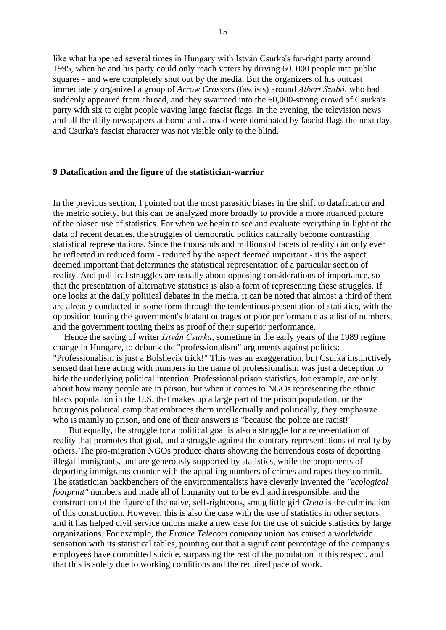like what happened several times in Hungary with István Csurka's far-right party around 1995, when he and his party could only reach voters by driving 60. 000 people into public squares - and were completely shut out by the media. But the organizers of his outcast immediately organized a group of *Arrow Crossers* (fascists) around *Albert Szabó*, who had suddenly appeared from abroad, and they swarmed into the 60,000-strong crowd of Csurka's party with six to eight people waving large fascist flags. In the evening, the television news and all the daily newspapers at home and abroad were dominated by fascist flags the next day, and Csurka's fascist character was not visible only to the blind.

### **9 Datafication and the figure of the statistician-warrior**

In the previous section, I pointed out the most parasitic biases in the shift to datafication and the metric society, but this can be analyzed more broadly to provide a more nuanced picture of the biased use of statistics. For when we begin to see and evaluate everything in light of the data of recent decades, the struggles of democratic politics naturally become contrasting statistical representations. Since the thousands and millions of facets of reality can only ever be reflected in reduced form - reduced by the aspect deemed important - it is the aspect deemed important that determines the statistical representation of a particular section of reality. And political struggles are usually about opposing considerations of importance, so that the presentation of alternative statistics is also a form of representing these struggles. If one looks at the daily political debates in the media, it can be noted that almost a third of them are already conducted in some form through the tendentious presentation of statistics, with the opposition touting the government's blatant outrages or poor performance as a list of numbers, and the government touting theirs as proof of their superior performance.

 Hence the saying of writer *István Csurka*, sometime in the early years of the 1989 regime change in Hungary, to debunk the "professionalism" arguments against politics: "Professionalism is just a Bolshevik trick!" This was an exaggeration, but Csurka instinctively sensed that here acting with numbers in the name of professionalism was just a deception to hide the underlying political intention. Professional prison statistics, for example, are only about how many people are in prison, but when it comes to NGOs representing the ethnic black population in the U.S. that makes up a large part of the prison population, or the bourgeois political camp that embraces them intellectually and politically, they emphasize who is mainly in prison, and one of their answers is "because the police are racist!"

 But equally, the struggle for a political goal is also a struggle for a representation of reality that promotes that goal, and a struggle against the contrary representations of reality by others. The pro-migration NGOs produce charts showing the horrendous costs of deporting illegal immigrants, and are generously supported by statistics, while the proponents of deporting immigrants counter with the appalling numbers of crimes and rapes they commit. The statistician backbenchers of the environmentalists have cleverly invented the *"ecological footprint"* numbers and made all of humanity out to be evil and irresponsible, and the construction of the figure of the naive, self-righteous, smug little girl *Greta* is the culmination of this construction. However, this is also the case with the use of statistics in other sectors, and it has helped civil service unions make a new case for the use of suicide statistics by large organizations. For example, the *France Telecom company* union has caused a worldwide sensation with its statistical tables, pointing out that a significant percentage of the company's employees have committed suicide, surpassing the rest of the population in this respect, and that this is solely due to working conditions and the required pace of work.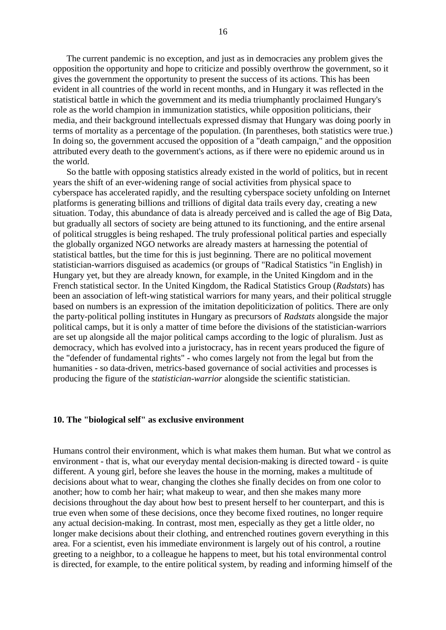The current pandemic is no exception, and just as in democracies any problem gives the opposition the opportunity and hope to criticize and possibly overthrow the government, so it gives the government the opportunity to present the success of its actions. This has been evident in all countries of the world in recent months, and in Hungary it was reflected in the statistical battle in which the government and its media triumphantly proclaimed Hungary's role as the world champion in immunization statistics, while opposition politicians, their media, and their background intellectuals expressed dismay that Hungary was doing poorly in terms of mortality as a percentage of the population. (In parentheses, both statistics were true.) In doing so, the government accused the opposition of a "death campaign," and the opposition attributed every death to the government's actions, as if there were no epidemic around us in the world.

 So the battle with opposing statistics already existed in the world of politics, but in recent years the shift of an ever-widening range of social activities from physical space to cyberspace has accelerated rapidly, and the resulting cyberspace society unfolding on Internet platforms is generating billions and trillions of digital data trails every day, creating a new situation. Today, this abundance of data is already perceived and is called the age of Big Data, but gradually all sectors of society are being attuned to its functioning, and the entire arsenal of political struggles is being reshaped. The truly professional political parties and especially the globally organized NGO networks are already masters at harnessing the potential of statistical battles, but the time for this is just beginning. There are no political movement statistician-warriors disguised as academics (or groups of "Radical Statistics "in English) in Hungary yet, but they are already known, for example, in the United Kingdom and in the French statistical sector. In the United Kingdom, the Radical Statistics Group (*Radstats*) has been an association of left-wing statistical warriors for many years, and their political struggle based on numbers is an expression of the imitation depoliticization of politics. There are only the party-political polling institutes in Hungary as precursors of *Radstats* alongside the major political camps, but it is only a matter of time before the divisions of the statistician-warriors are set up alongside all the major political camps according to the logic of pluralism. Just as democracy, which has evolved into a juristocracy, has in recent years produced the figure of the "defender of fundamental rights" - who comes largely not from the legal but from the humanities - so data-driven, metrics-based governance of social activities and processes is producing the figure of the *statistician-warrior* alongside the scientific statistician.

### **10. The "biological self" as exclusive environment**

Humans control their environment, which is what makes them human. But what we control as environment - that is, what our everyday mental decision-making is directed toward - is quite different. A young girl, before she leaves the house in the morning, makes a multitude of decisions about what to wear, changing the clothes she finally decides on from one color to another; how to comb her hair; what makeup to wear, and then she makes many more decisions throughout the day about how best to present herself to her counterpart, and this is true even when some of these decisions, once they become fixed routines, no longer require any actual decision-making. In contrast, most men, especially as they get a little older, no longer make decisions about their clothing, and entrenched routines govern everything in this area. For a scientist, even his immediate environment is largely out of his control, a routine greeting to a neighbor, to a colleague he happens to meet, but his total environmental control is directed, for example, to the entire political system, by reading and informing himself of the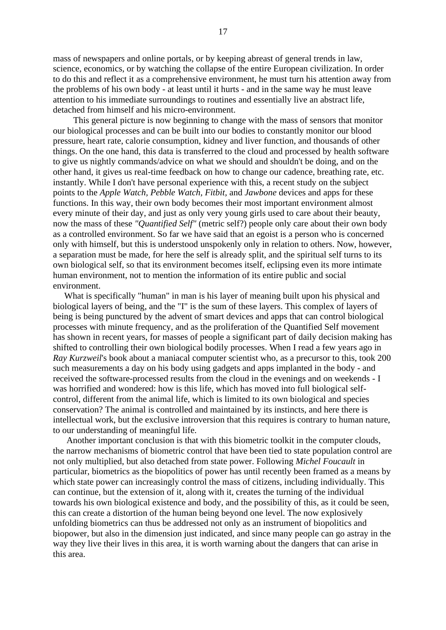mass of newspapers and online portals, or by keeping abreast of general trends in law, science, economics, or by watching the collapse of the entire European civilization. In order to do this and reflect it as a comprehensive environment, he must turn his attention away from the problems of his own body - at least until it hurts - and in the same way he must leave attention to his immediate surroundings to routines and essentially live an abstract life, detached from himself and his micro-environment.

 This general picture is now beginning to change with the mass of sensors that monitor our biological processes and can be built into our bodies to constantly monitor our blood pressure, heart rate, calorie consumption, kidney and liver function, and thousands of other things. On the one hand, this data is transferred to the cloud and processed by health software to give us nightly commands/advice on what we should and shouldn't be doing, and on the other hand, it gives us real-time feedback on how to change our cadence, breathing rate, etc. instantly. While I don't have personal experience with this, a recent study on the subject points to the *Apple Watch, Pebble Watch, Fitbit,* and *Jawbone* devices and apps for these functions. In this way, their own body becomes their most important environment almost every minute of their day, and just as only very young girls used to care about their beauty, now the mass of these *"Quantified Self"* (metric self?) people only care about their own body as a controlled environment. So far we have said that an egoist is a person who is concerned only with himself, but this is understood unspokenly only in relation to others. Now, however, a separation must be made, for here the self is already split, and the spiritual self turns to its own biological self, so that its environment becomes itself, eclipsing even its more intimate human environment, not to mention the information of its entire public and social environment.

 What is specifically "human" in man is his layer of meaning built upon his physical and biological layers of being, and the "I" is the sum of these layers. This complex of layers of being is being punctured by the advent of smart devices and apps that can control biological processes with minute frequency, and as the proliferation of the Quantified Self movement has shown in recent years, for masses of people a significant part of daily decision making has shifted to controlling their own biological bodily processes. When I read a few years ago in *Ray Kurzweil*'s book about a maniacal computer scientist who, as a precursor to this, took 200 such measurements a day on his body using gadgets and apps implanted in the body - and received the software-processed results from the cloud in the evenings and on weekends - I was horrified and wondered: how is this life, which has moved into full biological selfcontrol, different from the animal life, which is limited to its own biological and species conservation? The animal is controlled and maintained by its instincts, and here there is intellectual work, but the exclusive introversion that this requires is contrary to human nature, to our understanding of meaningful life.

 Another important conclusion is that with this biometric toolkit in the computer clouds, the narrow mechanisms of biometric control that have been tied to state population control are not only multiplied, but also detached from state power. Following *Michel Foucault* in particular, biometrics as the biopolitics of power has until recently been framed as a means by which state power can increasingly control the mass of citizens, including individually. This can continue, but the extension of it, along with it, creates the turning of the individual towards his own biological existence and body, and the possibility of this, as it could be seen, this can create a distortion of the human being beyond one level. The now explosively unfolding biometrics can thus be addressed not only as an instrument of biopolitics and biopower, but also in the dimension just indicated, and since many people can go astray in the way they live their lives in this area, it is worth warning about the dangers that can arise in this area.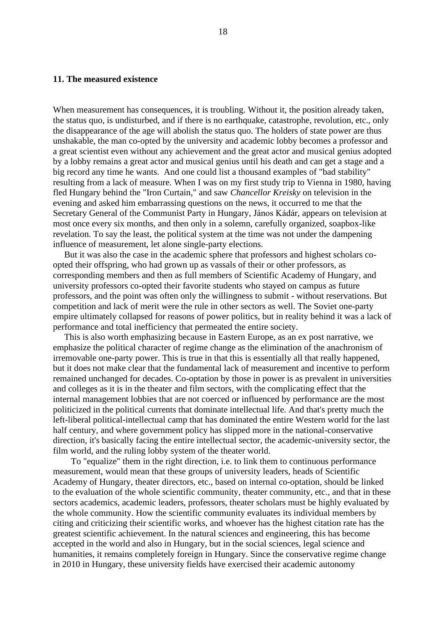# **11. The measured existence**

When measurement has consequences, it is troubling. Without it, the position already taken, the status quo, is undisturbed, and if there is no earthquake, catastrophe, revolution, etc., only the disappearance of the age will abolish the status quo. The holders of state power are thus unshakable, the man co-opted by the university and academic lobby becomes a professor and a great scientist even without any achievement and the great actor and musical genius adopted by a lobby remains a great actor and musical genius until his death and can get a stage and a big record any time he wants. And one could list a thousand examples of "bad stability" resulting from a lack of measure. When I was on my first study trip to Vienna in 1980, having fled Hungary behind the "Iron Curtain," and saw *Chancellor Kreisky* on television in the evening and asked him embarrassing questions on the news, it occurred to me that the Secretary General of the Communist Party in Hungary, János Kádár, appears on television at most once every six months, and then only in a solemn, carefully organized, soapbox-like revelation. To say the least, the political system at the time was not under the dampening influence of measurement, let alone single-party elections.

 But it was also the case in the academic sphere that professors and highest scholars coopted their offspring, who had grown up as vassals of their or other professors, as corresponding members and then as full members of Scientific Academy of Hungary, and university professors co-opted their favorite students who stayed on campus as future professors, and the point was often only the willingness to submit - without reservations. But competition and lack of merit were the rule in other sectors as well. The Soviet one-party empire ultimately collapsed for reasons of power politics, but in reality behind it was a lack of performance and total inefficiency that permeated the entire society.

 This is also worth emphasizing because in Eastern Europe, as an ex post narrative, we emphasize the political character of regime change as the elimination of the anachronism of irremovable one-party power. This is true in that this is essentially all that really happened, but it does not make clear that the fundamental lack of measurement and incentive to perform remained unchanged for decades. Co-optation by those in power is as prevalent in universities and colleges as it is in the theater and film sectors, with the complicating effect that the internal management lobbies that are not coerced or influenced by performance are the most politicized in the political currents that dominate intellectual life. And that's pretty much the left-liberal political-intellectual camp that has dominated the entire Western world for the last half century, and where government policy has slipped more in the national-conservative direction, it's basically facing the entire intellectual sector, the academic-university sector, the film world, and the ruling lobby system of the theater world.

 To "equalize" them in the right direction, i.e. to link them to continuous performance measurement, would mean that these groups of university leaders, heads of Scientific Academy of Hungary, theater directors, etc., based on internal co-optation, should be linked to the evaluation of the whole scientific community, theater community, etc., and that in these sectors academics, academic leaders, professors, theater scholars must be highly evaluated by the whole community. How the scientific community evaluates its individual members by citing and criticizing their scientific works, and whoever has the highest citation rate has the greatest scientific achievement. In the natural sciences and engineering, this has become accepted in the world and also in Hungary, but in the social sciences, legal science and humanities, it remains completely foreign in Hungary. Since the conservative regime change in 2010 in Hungary, these university fields have exercised their academic autonomy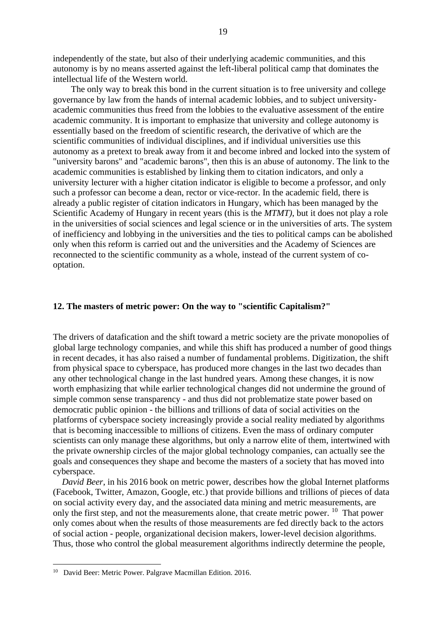independently of the state, but also of their underlying academic communities, and this autonomy is by no means asserted against the left-liberal political camp that dominates the intellectual life of the Western world.

 The only way to break this bond in the current situation is to free university and college governance by law from the hands of internal academic lobbies, and to subject universityacademic communities thus freed from the lobbies to the evaluative assessment of the entire academic community. It is important to emphasize that university and college autonomy is essentially based on the freedom of scientific research, the derivative of which are the scientific communities of individual disciplines, and if individual universities use this autonomy as a pretext to break away from it and become inbred and locked into the system of "university barons" and "academic barons", then this is an abuse of autonomy. The link to the academic communities is established by linking them to citation indicators, and only a university lecturer with a higher citation indicator is eligible to become a professor, and only such a professor can become a dean, rector or vice-rector. In the academic field, there is already a public register of citation indicators in Hungary, which has been managed by the Scientific Academy of Hungary in recent years (this is the *MTMT)*, but it does not play a role in the universities of social sciences and legal science or in the universities of arts. The system of inefficiency and lobbying in the universities and the ties to political camps can be abolished only when this reform is carried out and the universities and the Academy of Sciences are reconnected to the scientific community as a whole, instead of the current system of cooptation.

# **12. The masters of metric power: On the way to "scientific Capitalism?"**

The drivers of datafication and the shift toward a metric society are the private monopolies of global large technology companies, and while this shift has produced a number of good things in recent decades, it has also raised a number of fundamental problems. Digitization, the shift from physical space to cyberspace, has produced more changes in the last two decades than any other technological change in the last hundred years. Among these changes, it is now worth emphasizing that while earlier technological changes did not undermine the ground of simple common sense transparency - and thus did not problematize state power based on democratic public opinion - the billions and trillions of data of social activities on the platforms of cyberspace society increasingly provide a social reality mediated by algorithms that is becoming inaccessible to millions of citizens. Even the mass of ordinary computer scientists can only manage these algorithms, but only a narrow elite of them, intertwined with the private ownership circles of the major global technology companies, can actually see the goals and consequences they shape and become the masters of a society that has moved into cyberspace.

 *David Beer*, in his 2016 book on metric power, describes how the global Internet platforms (Facebook, Twitter, Amazon, Google, etc.) that provide billions and trillions of pieces of data on social activity every day, and the associated data mining and metric measurements, are only the first step, and not the measurements alone, that create metric power.  $10$  That power only comes about when the results of those measurements are fed directly back to the actors of social action - people, organizational decision makers, lower-level decision algorithms. Thus, those who control the global measurement algorithms indirectly determine the people,

<sup>&</sup>lt;sup>10</sup> David Beer: Metric Power. Palgrave Macmillan Edition. 2016.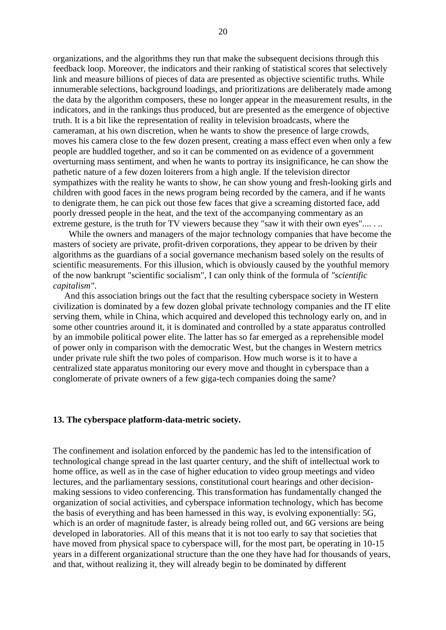organizations, and the algorithms they run that make the subsequent decisions through this feedback loop. Moreover, the indicators and their ranking of statistical scores that selectively link and measure billions of pieces of data are presented as objective scientific truths. While innumerable selections, background loadings, and prioritizations are deliberately made among the data by the algorithm composers, these no longer appear in the measurement results, in the indicators, and in the rankings thus produced, but are presented as the emergence of objective truth. It is a bit like the representation of reality in television broadcasts, where the cameraman, at his own discretion, when he wants to show the presence of large crowds, moves his camera close to the few dozen present, creating a mass effect even when only a few people are huddled together, and so it can be commented on as evidence of a government overturning mass sentiment, and when he wants to portray its insignificance, he can show the pathetic nature of a few dozen loiterers from a high angle. If the television director sympathizes with the reality he wants to show, he can show young and fresh-looking girls and children with good faces in the news program being recorded by the camera, and if he wants to denigrate them, he can pick out those few faces that give a screaming distorted face, add poorly dressed people in the heat, and the text of the accompanying commentary as an extreme gesture, is the truth for TV viewers because they "saw it with their own eyes"......

 While the owners and managers of the major technology companies that have become the masters of society are private, profit-driven corporations, they appear to be driven by their algorithms as the guardians of a social governance mechanism based solely on the results of scientific measurements. For this illusion, which is obviously caused by the youthful memory of the now bankrupt "scientific socialism", I can only think of the formula of *"scientific capitalism"*.

 And this association brings out the fact that the resulting cyberspace society in Western civilization is dominated by a few dozen global private technology companies and the IT elite serving them, while in China, which acquired and developed this technology early on, and in some other countries around it, it is dominated and controlled by a state apparatus controlled by an immobile political power elite. The latter has so far emerged as a reprehensible model of power only in comparison with the democratic West, but the changes in Western metrics under private rule shift the two poles of comparison. How much worse is it to have a centralized state apparatus monitoring our every move and thought in cyberspace than a conglomerate of private owners of a few giga-tech companies doing the same?

#### **13. The cyberspace platform-data-metric society.**

The confinement and isolation enforced by the pandemic has led to the intensification of technological change spread in the last quarter century, and the shift of intellectual work to home office, as well as in the case of higher education to video group meetings and video lectures, and the parliamentary sessions, constitutional court hearings and other decisionmaking sessions to video conferencing. This transformation has fundamentally changed the organization of social activities, and cyberspace information technology, which has become the basis of everything and has been harnessed in this way, is evolving exponentially: 5G, which is an order of magnitude faster, is already being rolled out, and 6G versions are being developed in laboratories. All of this means that it is not too early to say that societies that have moved from physical space to cyberspace will, for the most part, be operating in 10-15 years in a different organizational structure than the one they have had for thousands of years, and that, without realizing it, they will already begin to be dominated by different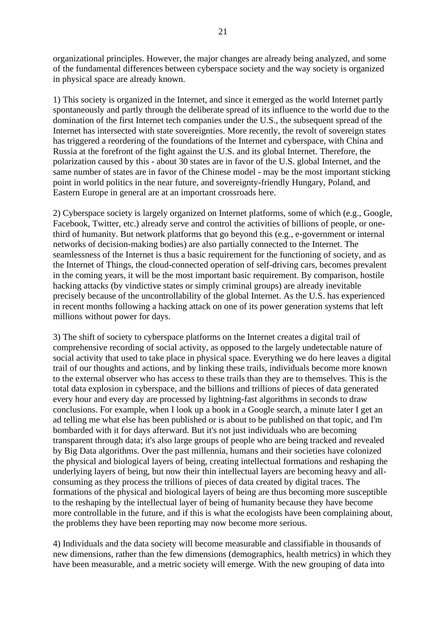organizational principles. However, the major changes are already being analyzed, and some of the fundamental differences between cyberspace society and the way society is organized in physical space are already known.

1) This society is organized in the Internet, and since it emerged as the world Internet partly spontaneously and partly through the deliberate spread of its influence to the world due to the domination of the first Internet tech companies under the U.S., the subsequent spread of the Internet has intersected with state sovereignties. More recently, the revolt of sovereign states has triggered a reordering of the foundations of the Internet and cyberspace, with China and Russia at the forefront of the fight against the U.S. and its global Internet. Therefore, the polarization caused by this - about 30 states are in favor of the U.S. global Internet, and the same number of states are in favor of the Chinese model - may be the most important sticking point in world politics in the near future, and sovereignty-friendly Hungary, Poland, and Eastern Europe in general are at an important crossroads here.

2) Cyberspace society is largely organized on Internet platforms, some of which (e.g., Google, Facebook, Twitter, etc.) already serve and control the activities of billions of people, or onethird of humanity. But network platforms that go beyond this (e.g., e-government or internal networks of decision-making bodies) are also partially connected to the Internet. The seamlessness of the Internet is thus a basic requirement for the functioning of society, and as the Internet of Things, the cloud-connected operation of self-driving cars, becomes prevalent in the coming years, it will be the most important basic requirement. By comparison, hostile hacking attacks (by vindictive states or simply criminal groups) are already inevitable precisely because of the uncontrollability of the global Internet. As the U.S. has experienced in recent months following a hacking attack on one of its power generation systems that left millions without power for days.

3) The shift of society to cyberspace platforms on the Internet creates a digital trail of comprehensive recording of social activity, as opposed to the largely undetectable nature of social activity that used to take place in physical space. Everything we do here leaves a digital trail of our thoughts and actions, and by linking these trails, individuals become more known to the external observer who has access to these trails than they are to themselves. This is the total data explosion in cyberspace, and the billions and trillions of pieces of data generated every hour and every day are processed by lightning-fast algorithms in seconds to draw conclusions. For example, when I look up a book in a Google search, a minute later I get an ad telling me what else has been published or is about to be published on that topic, and I'm bombarded with it for days afterward. But it's not just individuals who are becoming transparent through data; it's also large groups of people who are being tracked and revealed by Big Data algorithms. Over the past millennia, humans and their societies have colonized the physical and biological layers of being, creating intellectual formations and reshaping the underlying layers of being, but now their thin intellectual layers are becoming heavy and allconsuming as they process the trillions of pieces of data created by digital traces. The formations of the physical and biological layers of being are thus becoming more susceptible to the reshaping by the intellectual layer of being of humanity because they have become more controllable in the future, and if this is what the ecologists have been complaining about, the problems they have been reporting may now become more serious.

4) Individuals and the data society will become measurable and classifiable in thousands of new dimensions, rather than the few dimensions (demographics, health metrics) in which they have been measurable, and a metric society will emerge. With the new grouping of data into